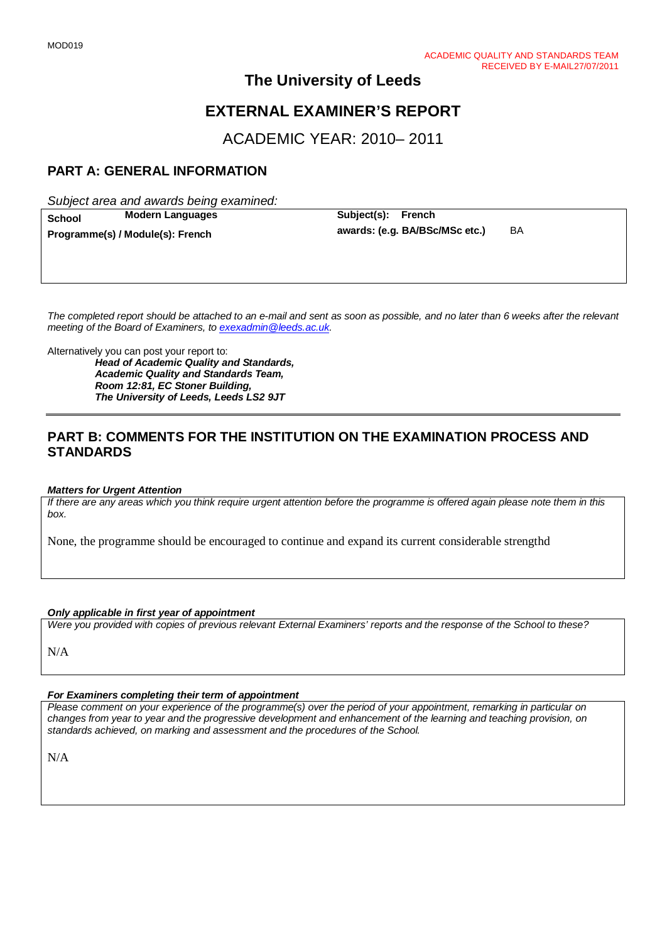# **EXTERNAL EXAMINER'S REPORT**

ACADEMIC YEAR: 2010– 2011

# **PART A: GENERAL INFORMATION**

*Subject area and awards being examined:*

**School Modern Languages Subject(s): French Programme(s) / Module(s): French awards: (e.g. BA/BSc/MSc etc.)** BA

*The completed report should be attached to an e-mail and sent as soon as possible, and no later than 6 weeks after the relevant meeting of the Board of Examiners, to [exexadmin@leeds.ac.uk.](mailto:exexadmin@leeds.ac.uk)*

Alternatively you can post your report to:

*Head of Academic Quality and Standards, Academic Quality and Standards Team, Room 12:81, EC Stoner Building, The University of Leeds, Leeds LS2 9JT*

# **PART B: COMMENTS FOR THE INSTITUTION ON THE EXAMINATION PROCESS AND STANDARDS**

#### *Matters for Urgent Attention*

*If there are any areas which you think require urgent attention before the programme is offered again please note them in this box.*

None, the programme should be encouraged to continue and expand its current considerable strengthd

#### *Only applicable in first year of appointment*

*Were you provided with copies of previous relevant External Examiners' reports and the response of the School to these?* 

N/A

## *For Examiners completing their term of appointment*

*Please comment on your experience of the programme(s) over the period of your appointment, remarking in particular on changes from year to year and the progressive development and enhancement of the learning and teaching provision, on standards achieved, on marking and assessment and the procedures of the School.* 

N/A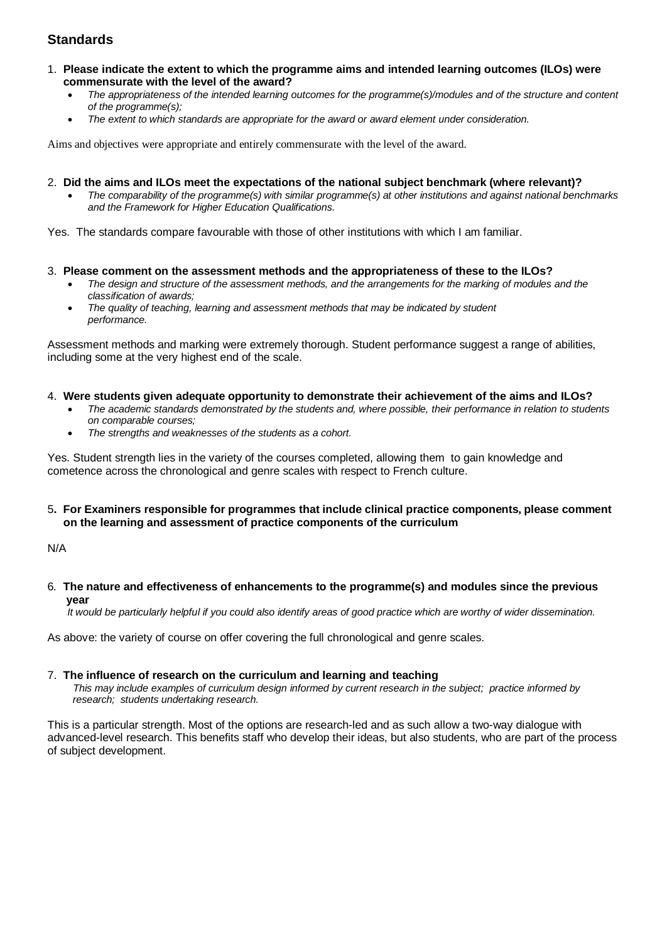- 1. **Please indicate the extent to which the programme aims and intended learning outcomes (ILOs) were commensurate with the level of the award?**
	- *The appropriateness of the intended learning outcomes for the programme(s)/modules and of the structure and content of the programme(s);*
	- *The extent to which standards are appropriate for the award or award element under consideration.*

Aims and objectives were appropriate and entirely commensurate with the level of the award.

- 2. **Did the aims and ILOs meet the expectations of the national subject benchmark (where relevant)?**
	- *The comparability of the programme(s) with similar programme(s) at other institutions and against national benchmarks and the Framework for Higher Education Qualifications.*

Yes. The standards compare favourable with those of other institutions with which I am familiar.

- 3. **Please comment on the assessment methods and the appropriateness of these to the ILOs?**
	- *The design and structure of the assessment methods, and the arrangements for the marking of modules and the classification of awards;*
	- *The quality of teaching, learning and assessment methods that may be indicated by student performance.*

Assessment methods and marking were extremely thorough. Student performance suggest a range of abilities, including some at the very highest end of the scale.

- 4. **Were students given adequate opportunity to demonstrate their achievement of the aims and ILOs?**
	- *The academic standards demonstrated by the students and, where possible, their performance in relation to students on comparable courses;*
	- *The strengths and weaknesses of the students as a cohort.*

Yes. Student strength lies in the variety of the courses completed, allowing them to gain knowledge and cometence across the chronological and genre scales with respect to French culture.

5**. For Examiners responsible for programmes that include clinical practice components, please comment on the learning and assessment of practice components of the curriculum**

N/A

6*.* **The nature and effectiveness of enhancements to the programme(s) and modules since the previous year**

 *It would be particularly helpful if you could also identify areas of good practice which are worthy of wider dissemination.* 

As above: the variety of course on offer covering the full chronological and genre scales.

#### 7.**The influence of research on the curriculum and learning and teaching**

 *This may include examples of curriculum design informed by current research in the subject; practice informed by research; students undertaking research.* 

This is a particular strength. Most of the options are research-led and as such allow a two-way dialogue with advanced-level research. This benefits staff who develop their ideas, but also students, who are part of the process of subject development.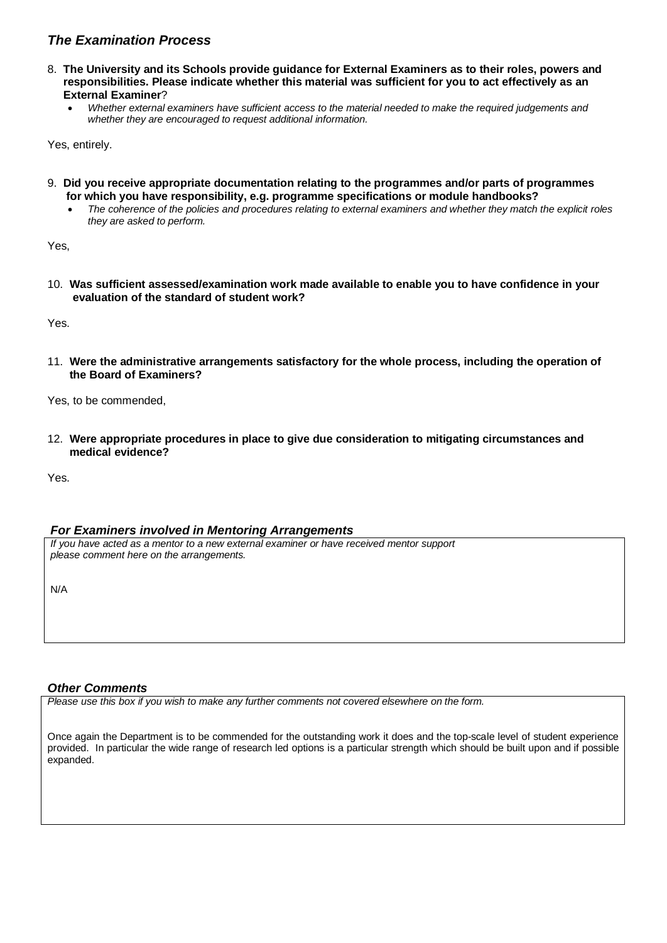- 8. **The University and its Schools provide guidance for External Examiners as to their roles, powers and responsibilities. Please indicate whether this material was sufficient for you to act effectively as an External Examiner**?
	- *Whether external examiners have sufficient access to the material needed to make the required judgements and whether they are encouraged to request additional information.*

Yes, entirely.

- 9. **Did you receive appropriate documentation relating to the programmes and/or parts of programmes for which you have responsibility, e.g. programme specifications or module handbooks?**
	- *The coherence of the policies and procedures relating to external examiners and whether they match the explicit roles they are asked to perform.*

Yes,

10. **Was sufficient assessed/examination work made available to enable you to have confidence in your evaluation of the standard of student work?**

Yes.

11. **Were the administrative arrangements satisfactory for the whole process, including the operation of the Board of Examiners?**

Yes, to be commended,

12. **Were appropriate procedures in place to give due consideration to mitigating circumstances and medical evidence?**

Yes.

## *For Examiners involved in Mentoring Arrangements*

*If you have acted as a mentor to a new external examiner or have received mentor support please comment here on the arrangements.*

N/A

## *Other Comments*

*Please use this box if you wish to make any further comments not covered elsewhere on the form.*

Once again the Department is to be commended for the outstanding work it does and the top-scale level of student experience provided. In particular the wide range of research led options is a particular strength which should be built upon and if possible expanded.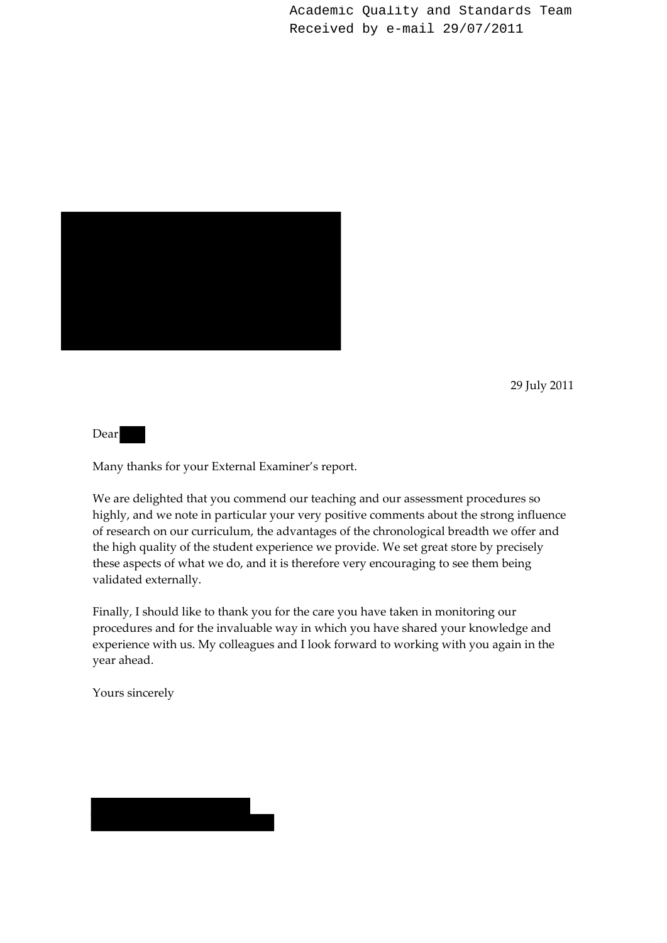Academic Quality and Standards Team Received by e-mail 29/07/2011



29 July 2011

Dear

Many thanks for your External Examiner's report.

We are delighted that you commend our teaching and our assessment procedures so highly, and we note in particular your very positive comments about the strong influence of research on our curriculum, the advantages of the chronological breadth we offer and the high quality of the student experience we provide. We set great store by precisely these aspects of what we do, and it is therefore very encouraging to see them being validated externally.

Finally, I should like to thank you for the care you have taken in monitoring our procedures and for the invaluable way in which you have shared your knowledge and experience with us. My colleagues and I look forward to working with you again in the year ahead.

Yours sincerely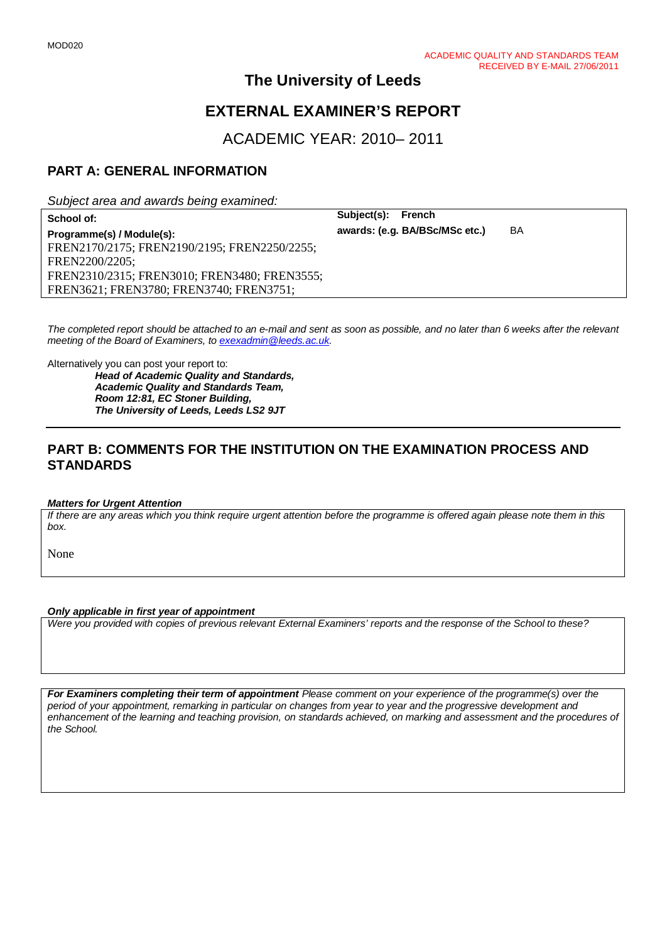# **EXTERNAL EXAMINER'S REPORT**

ACADEMIC YEAR: 2010– 2011

# **PART A: GENERAL INFORMATION**

*Subject area and awards being examined:*

**School of: Subject(s): French Programme(s) / Module(s): awards: (e.g. BA/BSc/MSc etc.)** BA FREN2170/2175; FREN2190/2195; FREN2250/2255; FREN2200/2205; FREN2310/2315; FREN3010; FREN3480; FREN3555; FREN3621; FREN3780; FREN3740; FREN3751;

*The completed report should be attached to an e-mail and sent as soon as possible, and no later than 6 weeks after the relevant meeting of the Board of Examiners, to [exexadmin@leeds.ac.uk.](mailto:exexadmin@leeds.ac.uk)*

Alternatively you can post your report to:

*Head of Academic Quality and Standards, Academic Quality and Standards Team, Room 12:81, EC Stoner Building, The University of Leeds, Leeds LS2 9JT*

# **PART B: COMMENTS FOR THE INSTITUTION ON THE EXAMINATION PROCESS AND STANDARDS**

#### *Matters for Urgent Attention*

*If there are any areas which you think require urgent attention before the programme is offered again please note them in this box.*

None

## *Only applicable in first year of appointment*

*Were you provided with copies of previous relevant External Examiners' reports and the response of the School to these?* 

*For Examiners completing their term of appointment Please comment on your experience of the programme(s) over the period of your appointment, remarking in particular on changes from year to year and the progressive development and*  enhancement of the learning and teaching provision, on standards achieved, on marking and assessment and the procedures of *the School.*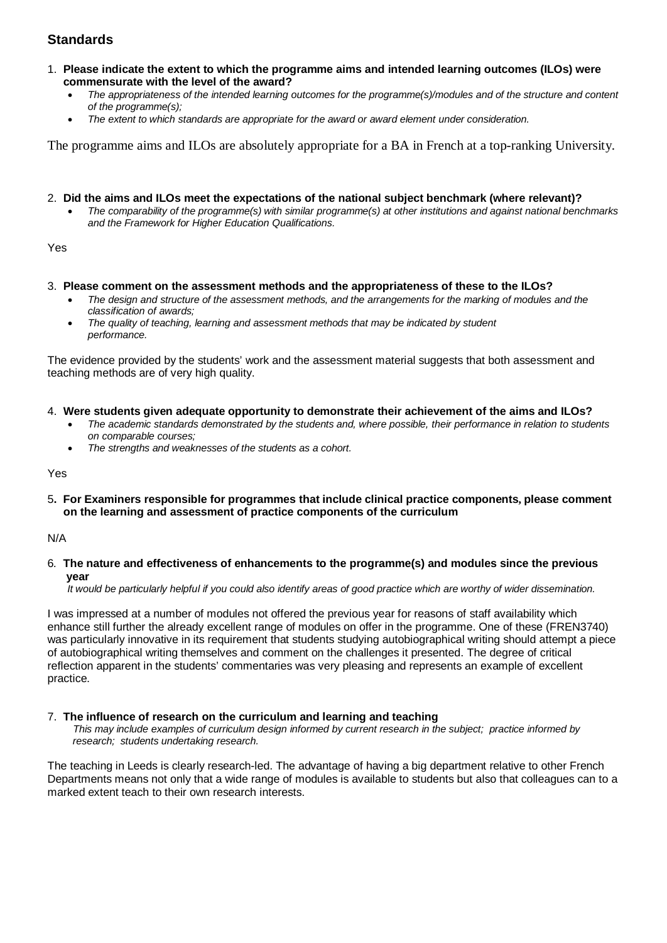- 1. **Please indicate the extent to which the programme aims and intended learning outcomes (ILOs) were commensurate with the level of the award?**
	- *The appropriateness of the intended learning outcomes for the programme(s)/modules and of the structure and content of the programme(s);*
	- *The extent to which standards are appropriate for the award or award element under consideration.*

The programme aims and ILOs are absolutely appropriate for a BA in French at a top-ranking University.

### 2. **Did the aims and ILOs meet the expectations of the national subject benchmark (where relevant)?**

• *The comparability of the programme(s) with similar programme(s) at other institutions and against national benchmarks and the Framework for Higher Education Qualifications.*

Yes

### 3. **Please comment on the assessment methods and the appropriateness of these to the ILOs?**

- *The design and structure of the assessment methods, and the arrangements for the marking of modules and the classification of awards;*
- *The quality of teaching, learning and assessment methods that may be indicated by student performance.*

The evidence provided by the students' work and the assessment material suggests that both assessment and teaching methods are of very high quality.

### 4. **Were students given adequate opportunity to demonstrate their achievement of the aims and ILOs?**

- *The academic standards demonstrated by the students and, where possible, their performance in relation to students on comparable courses;*
- *The strengths and weaknesses of the students as a cohort.*

Yes

5**. For Examiners responsible for programmes that include clinical practice components, please comment on the learning and assessment of practice components of the curriculum**

N/A

6*.* **The nature and effectiveness of enhancements to the programme(s) and modules since the previous year**

 *It would be particularly helpful if you could also identify areas of good practice which are worthy of wider dissemination.* 

I was impressed at a number of modules not offered the previous year for reasons of staff availability which enhance still further the already excellent range of modules on offer in the programme. One of these (FREN3740) was particularly innovative in its requirement that students studying autobiographical writing should attempt a piece of autobiographical writing themselves and comment on the challenges it presented. The degree of critical reflection apparent in the students' commentaries was very pleasing and represents an example of excellent practice.

## 7.**The influence of research on the curriculum and learning and teaching**

 *This may include examples of curriculum design informed by current research in the subject; practice informed by research; students undertaking research.* 

The teaching in Leeds is clearly research-led. The advantage of having a big department relative to other French Departments means not only that a wide range of modules is available to students but also that colleagues can to a marked extent teach to their own research interests.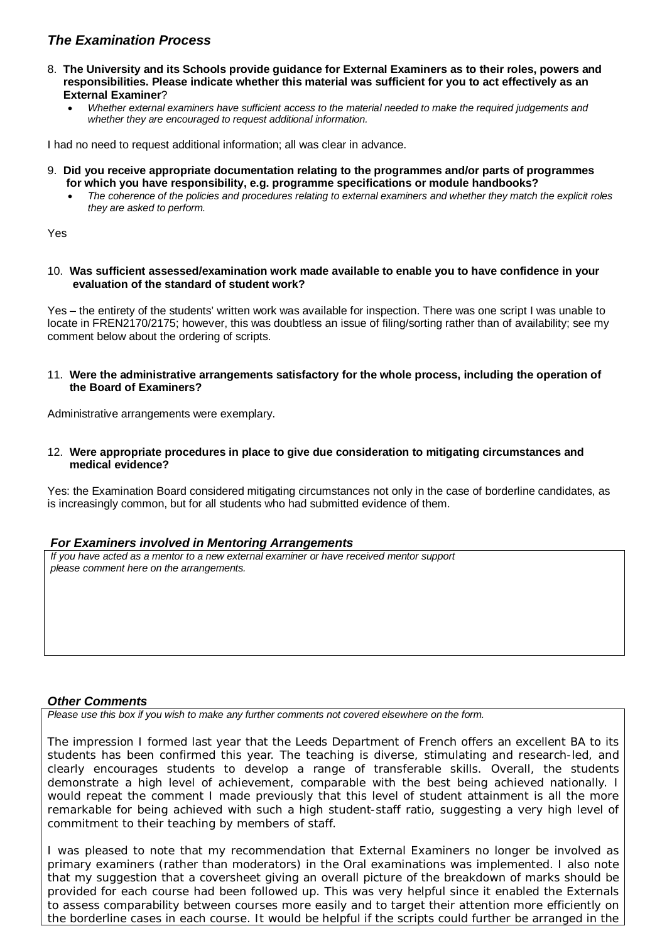- 8. **The University and its Schools provide guidance for External Examiners as to their roles, powers and responsibilities. Please indicate whether this material was sufficient for you to act effectively as an External Examiner**?
	- *Whether external examiners have sufficient access to the material needed to make the required judgements and whether they are encouraged to request additional information.*

I had no need to request additional information; all was clear in advance.

- 9. **Did you receive appropriate documentation relating to the programmes and/or parts of programmes for which you have responsibility, e.g. programme specifications or module handbooks?**
	- *The coherence of the policies and procedures relating to external examiners and whether they match the explicit roles they are asked to perform.*

Yes

10. **Was sufficient assessed/examination work made available to enable you to have confidence in your evaluation of the standard of student work?**

Yes – the entirety of the students' written work was available for inspection. There was one script I was unable to locate in FREN2170/2175; however, this was doubtless an issue of filing/sorting rather than of availability; see my comment below about the ordering of scripts.

11. **Were the administrative arrangements satisfactory for the whole process, including the operation of the Board of Examiners?**

Administrative arrangements were exemplary.

12. **Were appropriate procedures in place to give due consideration to mitigating circumstances and medical evidence?**

Yes: the Examination Board considered mitigating circumstances not only in the case of borderline candidates, as is increasingly common, but for all students who had submitted evidence of them.

## *For Examiners involved in Mentoring Arrangements*

*If you have acted as a mentor to a new external examiner or have received mentor support please comment here on the arrangements.*

## *Other Comments*

*Please use this box if you wish to make any further comments not covered elsewhere on the form.*

The impression I formed last year that the Leeds Department of French offers an excellent BA to its students has been confirmed this year. The teaching is diverse, stimulating and research-led, and clearly encourages students to develop a range of transferable skills. Overall, the students demonstrate a high level of achievement, comparable with the best being achieved nationally. I would repeat the comment I made previously that this level of student attainment is all the more remarkable for being achieved with such a high student-staff ratio, suggesting a very high level of commitment to their teaching by members of staff.

I was pleased to note that my recommendation that External Examiners no longer be involved as primary examiners (rather than moderators) in the Oral examinations was implemented. I also note that my suggestion that a coversheet giving an overall picture of the breakdown of marks should be provided for each course had been followed up. This was very helpful since it enabled the Externals to assess comparability between courses more easily and to target their attention more efficiently on the borderline cases in each course. It would be helpful if the scripts could further be arranged in the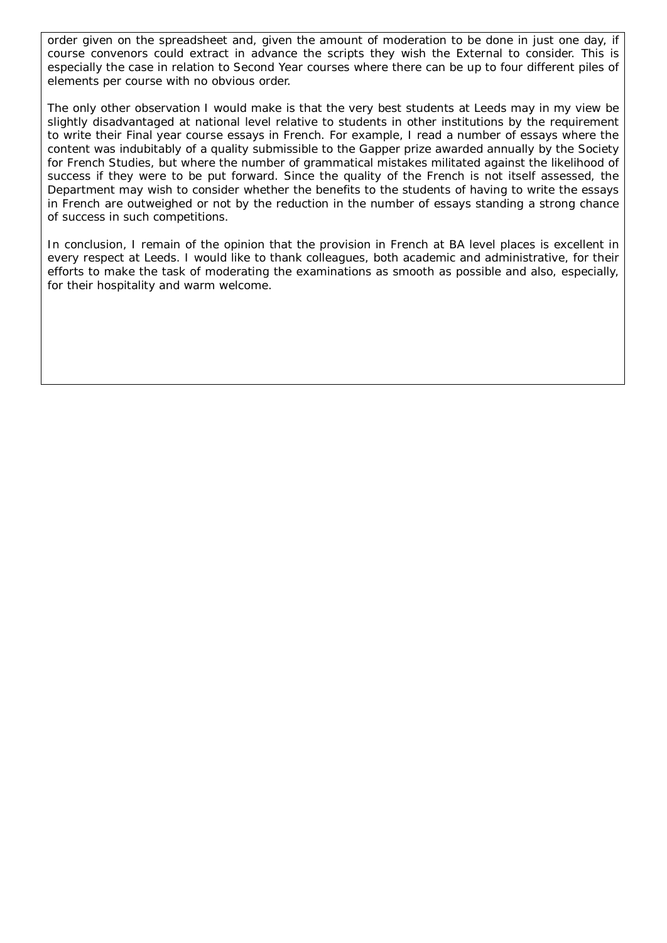order given on the spreadsheet and, given the amount of moderation to be done in just one day, if course convenors could extract in advance the scripts they wish the External to consider. This is especially the case in relation to Second Year courses where there can be up to four different piles of elements per course with no obvious order.

The only other observation I would make is that the very best students at Leeds may in my view be slightly disadvantaged at national level relative to students in other institutions by the requirement to write their Final year course essays in French. For example, I read a number of essays where the content was indubitably of a quality submissible to the Gapper prize awarded annually by the Society for French Studies, but where the number of grammatical mistakes militated against the likelihood of success if they were to be put forward. Since the quality of the French is not itself assessed, the Department may wish to consider whether the benefits to the students of having to write the essays in French are outweighed or not by the reduction in the number of essays standing a strong chance of success in such competitions.

In conclusion, I remain of the opinion that the provision in French at BA level places is excellent in every respect at Leeds. I would like to thank colleagues, both academic and administrative, for their efforts to make the task of moderating the examinations as smooth as possible and also, especially, for their hospitality and warm welcome.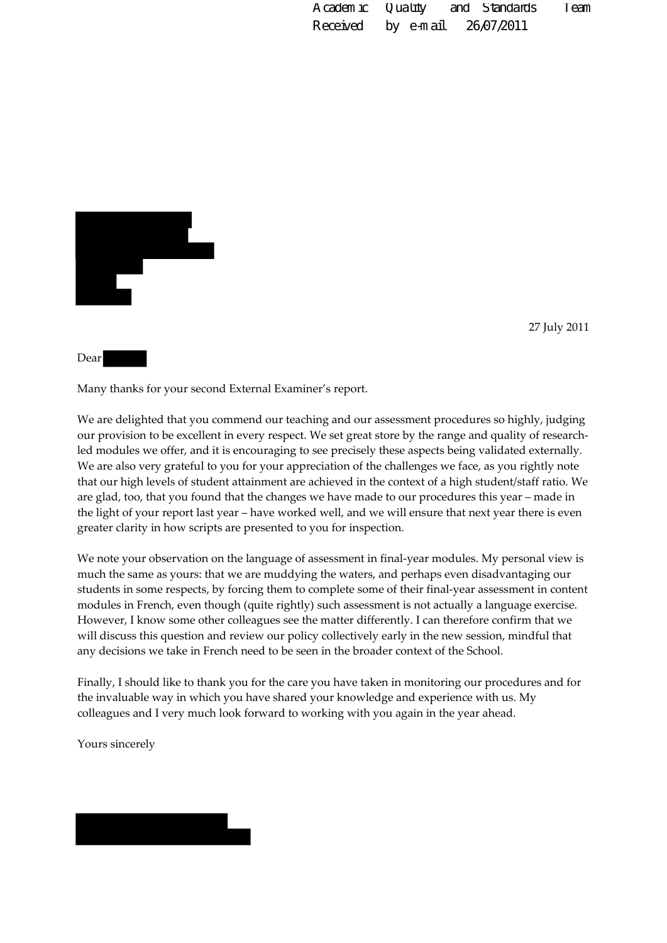Academic Quality and Standards Team Received by e-mail 26/07/2011

27 July 2011

Many thanks for your second External Examiner's report.

We are delighted that you commend our teaching and our assessment procedures so highly, judging our provision to be excellent in every respect. We set great store by the range and quality of researchled modules we offer, and it is encouraging to see precisely these aspects being validated externally. We are also very grateful to you for your appreciation of the challenges we face, as you rightly note that our high levels of student attainment are achieved in the context of a high student/staff ratio. We are glad, too, that you found that the changes we have made to our procedures this year – made in the light of your report last year – have worked well, and we will ensure that next year there is even greater clarity in how scripts are presented to you for inspection.

We note your observation on the language of assessment in final-year modules. My personal view is much the same as yours: that we are muddying the waters, and perhaps even disadvantaging our students in some respects, by forcing them to complete some of their final‐year assessment in content modules in French, even though (quite rightly) such assessment is not actually a language exercise. However, I know some other colleagues see the matter differently. I can therefore confirm that we will discuss this question and review our policy collectively early in the new session, mindful that any decisions we take in French need to be seen in the broader context of the School.

Finally, I should like to thank you for the care you have taken in monitoring our procedures and for the invaluable way in which you have shared your knowledge and experience with us. My colleagues and I very much look forward to working with you again in the year ahead.

Yours sincerely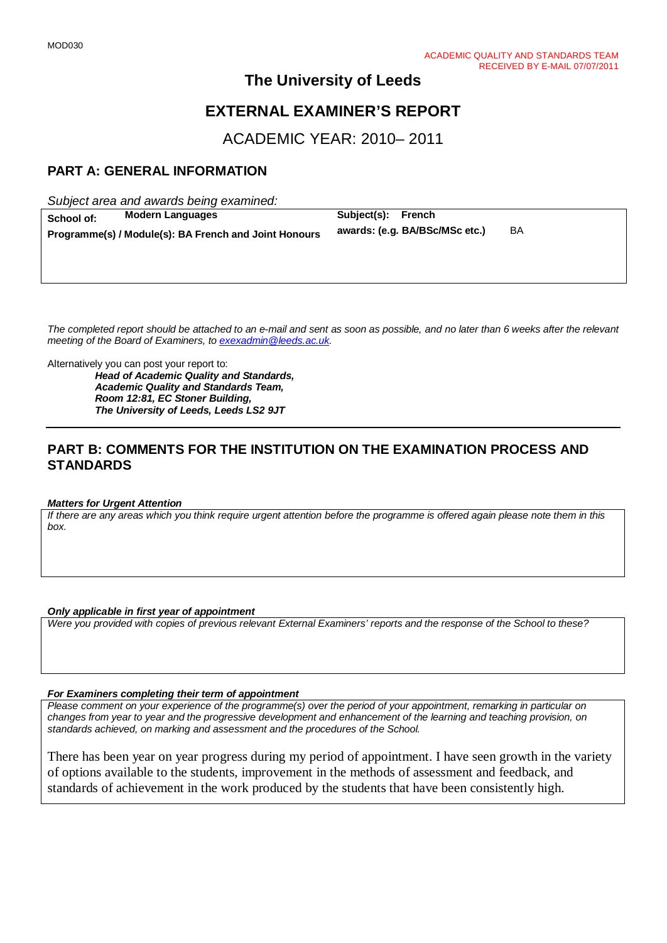# **EXTERNAL EXAMINER'S REPORT**

ACADEMIC YEAR: 2010– 2011

# **PART A: GENERAL INFORMATION**

*Subject area and awards being examined:*

| School of: | <b>Modern Languages</b>                               | Subject(s): French |                                |    |
|------------|-------------------------------------------------------|--------------------|--------------------------------|----|
|            | Programme(s) / Module(s): BA French and Joint Honours |                    | awards: (e.g. BA/BSc/MSc etc.) | BA |
|            |                                                       |                    |                                |    |

*The completed report should be attached to an e-mail and sent as soon as possible, and no later than 6 weeks after the relevant meeting of the Board of Examiners, to [exexadmin@leeds.ac.uk.](mailto:exexadmin@leeds.ac.uk)*

Alternatively you can post your report to:

*Head of Academic Quality and Standards, Academic Quality and Standards Team, Room 12:81, EC Stoner Building, The University of Leeds, Leeds LS2 9JT*

## **PART B: COMMENTS FOR THE INSTITUTION ON THE EXAMINATION PROCESS AND STANDARDS**

#### *Matters for Urgent Attention*

*If there are any areas which you think require urgent attention before the programme is offered again please note them in this box.*

#### *Only applicable in first year of appointment*

*Were you provided with copies of previous relevant External Examiners' reports and the response of the School to these?* 

#### *For Examiners completing their term of appointment*

*Please comment on your experience of the programme(s) over the period of your appointment, remarking in particular on changes from year to year and the progressive development and enhancement of the learning and teaching provision, on standards achieved, on marking and assessment and the procedures of the School.* 

There has been year on year progress during my period of appointment. I have seen growth in the variety of options available to the students, improvement in the methods of assessment and feedback, and standards of achievement in the work produced by the students that have been consistently high.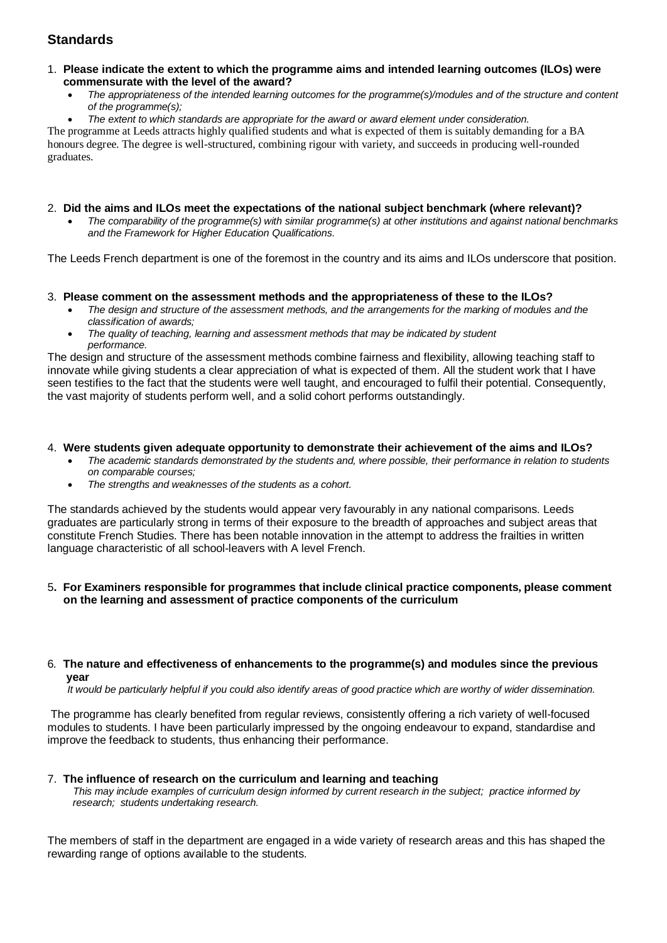- 1. **Please indicate the extent to which the programme aims and intended learning outcomes (ILOs) were commensurate with the level of the award?**
	- *The appropriateness of the intended learning outcomes for the programme(s)/modules and of the structure and content of the programme(s);*
	- *The extent to which standards are appropriate for the award or award element under consideration.*

The programme at Leeds attracts highly qualified students and what is expected of them is suitably demanding for a BA honours degree. The degree is well-structured, combining rigour with variety, and succeeds in producing well-rounded graduates.

### 2. **Did the aims and ILOs meet the expectations of the national subject benchmark (where relevant)?**

• *The comparability of the programme(s) with similar programme(s) at other institutions and against national benchmarks and the Framework for Higher Education Qualifications.*

The Leeds French department is one of the foremost in the country and its aims and ILOs underscore that position.

## 3. **Please comment on the assessment methods and the appropriateness of these to the ILOs?**

- *The design and structure of the assessment methods, and the arrangements for the marking of modules and the classification of awards;*
- *The quality of teaching, learning and assessment methods that may be indicated by student performance.*

The design and structure of the assessment methods combine fairness and flexibility, allowing teaching staff to innovate while giving students a clear appreciation of what is expected of them. All the student work that I have seen testifies to the fact that the students were well taught, and encouraged to fulfil their potential. Consequently, the vast majority of students perform well, and a solid cohort performs outstandingly.

### 4. **Were students given adequate opportunity to demonstrate their achievement of the aims and ILOs?**

- *The academic standards demonstrated by the students and, where possible, their performance in relation to students on comparable courses;*
- *The strengths and weaknesses of the students as a cohort.*

The standards achieved by the students would appear very favourably in any national comparisons. Leeds graduates are particularly strong in terms of their exposure to the breadth of approaches and subject areas that constitute French Studies. There has been notable innovation in the attempt to address the frailties in written language characteristic of all school-leavers with A level French.

### 5**. For Examiners responsible for programmes that include clinical practice components, please comment on the learning and assessment of practice components of the curriculum**

### 6*.* **The nature and effectiveness of enhancements to the programme(s) and modules since the previous year**

 *It would be particularly helpful if you could also identify areas of good practice which are worthy of wider dissemination.* 

The programme has clearly benefited from regular reviews, consistently offering a rich variety of well-focused modules to students. I have been particularly impressed by the ongoing endeavour to expand, standardise and improve the feedback to students, thus enhancing their performance.

#### 7.**The influence of research on the curriculum and learning and teaching**  *This may include examples of curriculum design informed by current research in the subject; practice informed by research; students undertaking research.*

The members of staff in the department are engaged in a wide variety of research areas and this has shaped the rewarding range of options available to the students.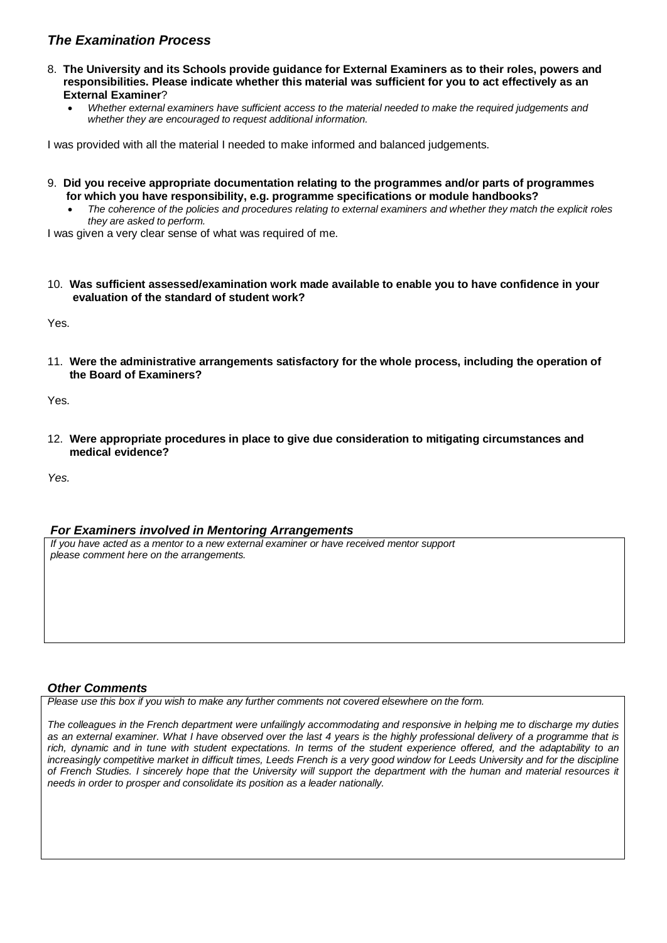- 8. **The University and its Schools provide guidance for External Examiners as to their roles, powers and responsibilities. Please indicate whether this material was sufficient for you to act effectively as an External Examiner**?
	- *Whether external examiners have sufficient access to the material needed to make the required judgements and whether they are encouraged to request additional information.*

I was provided with all the material I needed to make informed and balanced judgements.

- 9. **Did you receive appropriate documentation relating to the programmes and/or parts of programmes for which you have responsibility, e.g. programme specifications or module handbooks?**
	- *The coherence of the policies and procedures relating to external examiners and whether they match the explicit roles they are asked to perform.*

I was given a very clear sense of what was required of me.

10. **Was sufficient assessed/examination work made available to enable you to have confidence in your evaluation of the standard of student work?**

Yes.

11. **Were the administrative arrangements satisfactory for the whole process, including the operation of the Board of Examiners?**

Yes.

12. **Were appropriate procedures in place to give due consideration to mitigating circumstances and medical evidence?**

*Yes.*

## *For Examiners involved in Mentoring Arrangements*

*If you have acted as a mentor to a new external examiner or have received mentor support please comment here on the arrangements.*

## *Other Comments*

*Please use this box if you wish to make any further comments not covered elsewhere on the form.*

*The colleagues in the French department were unfailingly accommodating and responsive in helping me to discharge my duties as an external examiner. What I have observed over the last 4 years is the highly professional delivery of a programme that is rich, dynamic and in tune with student expectations. In terms of the student experience offered, and the adaptability to an increasingly competitive market in difficult times, Leeds French is a very good window for Leeds University and for the discipline of French Studies. I sincerely hope that the University will support the department with the human and material resources it needs in order to prosper and consolidate its position as a leader nationally.*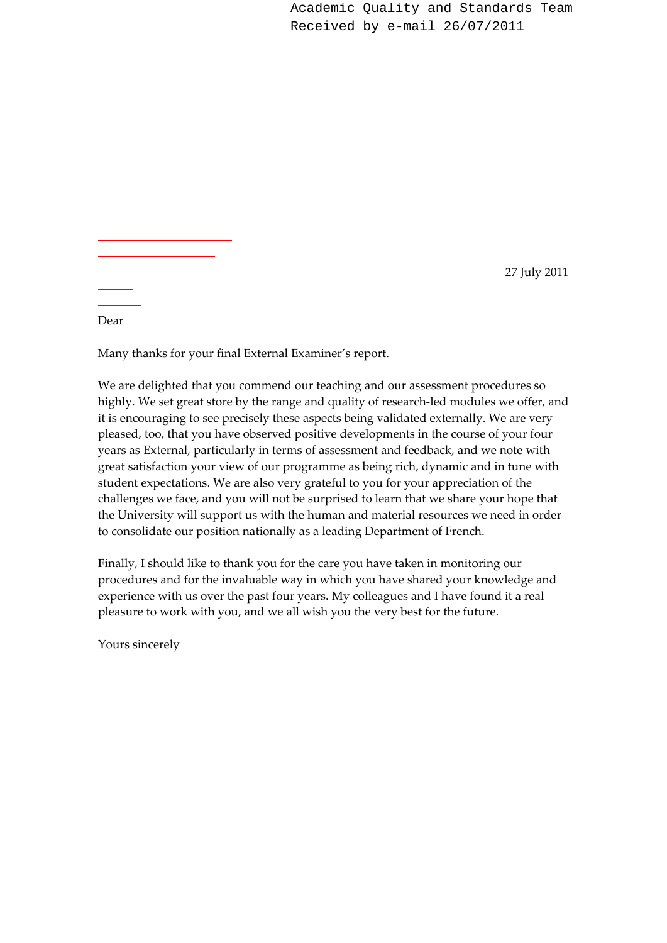Academic Quality and Standards Team Received by e-mail 26/07/2011

27 July 2011

Dear

Many thanks for your final External Examiner's report.

We are delighted that you commend our teaching and our assessment procedures so highly. We set great store by the range and quality of research-led modules we offer, and it is encouraging to see precisely these aspects being validated externally. We are very pleased, too, that you have observed positive developments in the course of your four years as External, particularly in terms of assessment and feedback, and we note with great satisfaction your view of our programme as being rich, dynamic and in tune with student expectations. We are also very grateful to you for your appreciation of the challenges we face, and you will not be surprised to learn that we share your hope that the University will support us with the human and material resources we need in order to consolidate our position nationally as a leading Department of French.

Finally, I should like to thank you for the care you have taken in monitoring our procedures and for the invaluable way in which you have shared your knowledge and experience with us over the past four years. My colleagues and I have found it a real pleasure to work with you, and we all wish you the very best for the future.

Yours sincerely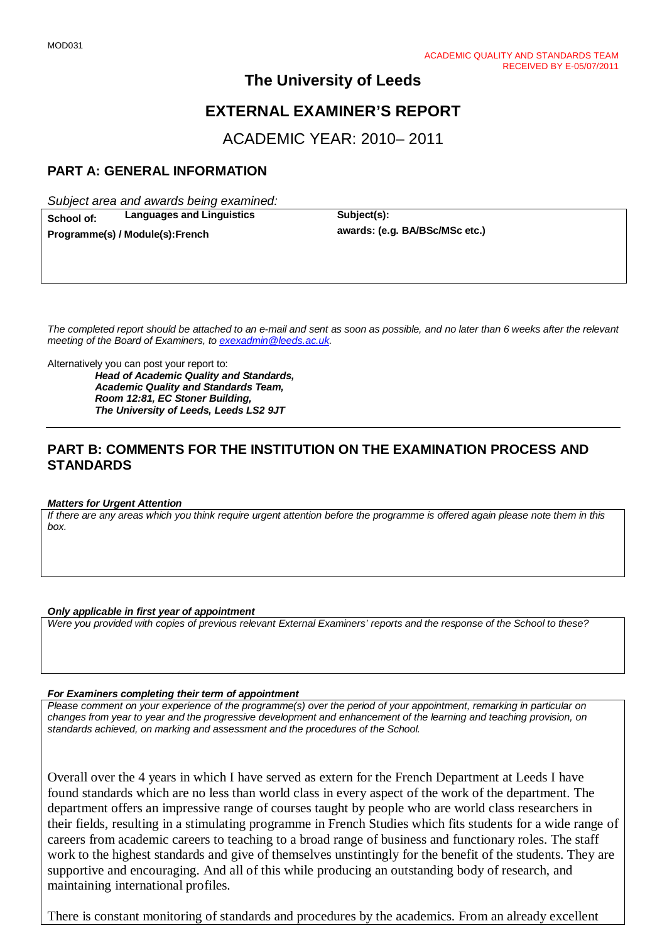# **EXTERNAL EXAMINER'S REPORT**

ACADEMIC YEAR: 2010– 2011

# **PART A: GENERAL INFORMATION**

*Subject area and awards being examined:*

**School of: Languages and Linguistics Subject(s): Subject(s): Programme(s)** *I* Module(s): **Franch awards:** (e.g. BA/BSc/MSc etc.)

 $Programme(s) / Module(s): French$ 

*The completed report should be attached to an e-mail and sent as soon as possible, and no later than 6 weeks after the relevant meeting of the Board of Examiners, to [exexadmin@leeds.ac.uk.](mailto:exexadmin@leeds.ac.uk)*

Alternatively you can post your report to:

*Head of Academic Quality and Standards, Academic Quality and Standards Team, Room 12:81, EC Stoner Building, The University of Leeds, Leeds LS2 9JT*

## **PART B: COMMENTS FOR THE INSTITUTION ON THE EXAMINATION PROCESS AND STANDARDS**

#### *Matters for Urgent Attention*

*If there are any areas which you think require urgent attention before the programme is offered again please note them in this box.*

#### *Only applicable in first year of appointment*

*Were you provided with copies of previous relevant External Examiners' reports and the response of the School to these?* 

#### *For Examiners completing their term of appointment*

*Please comment on your experience of the programme(s) over the period of your appointment, remarking in particular on changes from year to year and the progressive development and enhancement of the learning and teaching provision, on standards achieved, on marking and assessment and the procedures of the School.* 

Overall over the 4 years in which I have served as extern for the French Department at Leeds I have found standards which are no less than world class in every aspect of the work of the department. The department offers an impressive range of courses taught by people who are world class researchers in their fields, resulting in a stimulating programme in French Studies which fits students for a wide range of careers from academic careers to teaching to a broad range of business and functionary roles. The staff work to the highest standards and give of themselves unstintingly for the benefit of the students. They are supportive and encouraging. And all of this while producing an outstanding body of research, and maintaining international profiles.

There is constant monitoring of standards and procedures by the academics. From an already excellent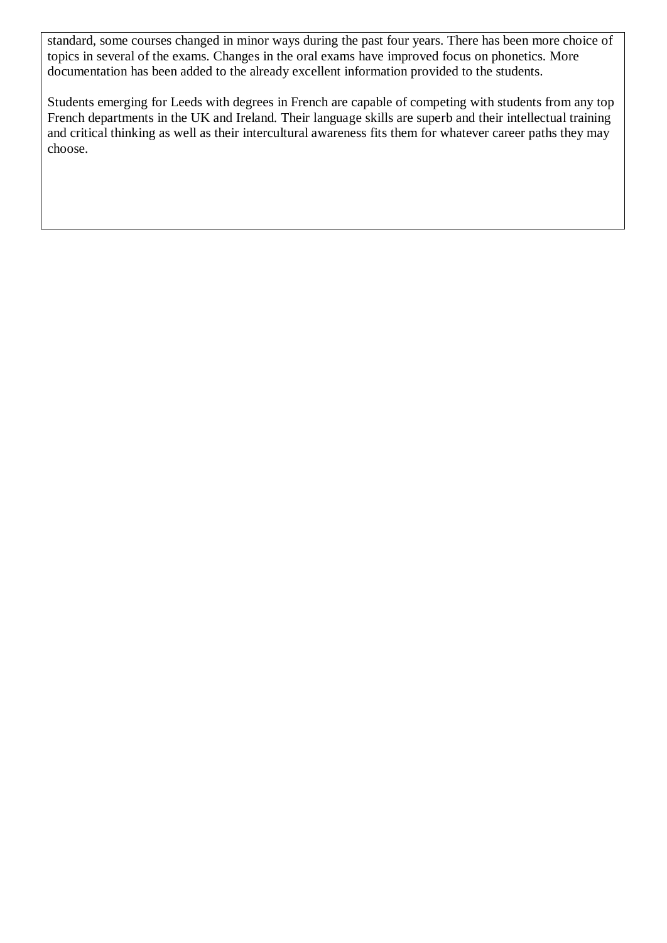standard, some courses changed in minor ways during the past four years. There has been more choice of topics in several of the exams. Changes in the oral exams have improved focus on phonetics. More documentation has been added to the already excellent information provided to the students.

Students emerging for Leeds with degrees in French are capable of competing with students from any top French departments in the UK and Ireland. Their language skills are superb and their intellectual training and critical thinking as well as their intercultural awareness fits them for whatever career paths they may choose.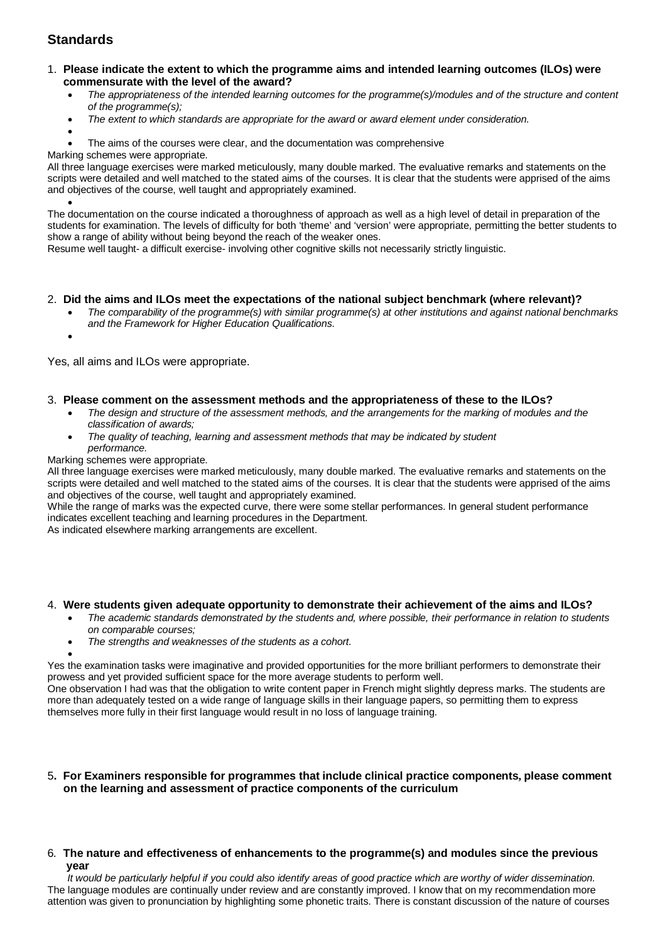#### 1. **Please indicate the extent to which the programme aims and intended learning outcomes (ILOs) were commensurate with the level of the award?**

- *The appropriateness of the intended learning outcomes for the programme(s)/modules and of the structure and content of the programme(s);*
- *The extent to which standards are appropriate for the award or award element under consideration.*
- - The aims of the courses were clear, and the documentation was comprehensive

Marking schemes were appropriate.

All three language exercises were marked meticulously, many double marked. The evaluative remarks and statements on the scripts were detailed and well matched to the stated aims of the courses. It is clear that the students were apprised of the aims and objectives of the course, well taught and appropriately examined.

• The documentation on the course indicated a thoroughness of approach as well as a high level of detail in preparation of the students for examination. The levels of difficulty for both 'theme' and 'version' were appropriate, permitting the better students to show a range of ability without being beyond the reach of the weaker ones.

Resume well taught- a difficult exercise- involving other cognitive skills not necessarily strictly linguistic.

#### 2. **Did the aims and ILOs meet the expectations of the national subject benchmark (where relevant)?**

- *The comparability of the programme(s) with similar programme(s) at other institutions and against national benchmarks and the Framework for Higher Education Qualifications.*
- •

Yes, all aims and ILOs were appropriate.

### 3. **Please comment on the assessment methods and the appropriateness of these to the ILOs?**

- *The design and structure of the assessment methods, and the arrangements for the marking of modules and the classification of awards;*
- *The quality of teaching, learning and assessment methods that may be indicated by student performance.*

#### Marking schemes were appropriate.

All three language exercises were marked meticulously, many double marked. The evaluative remarks and statements on the scripts were detailed and well matched to the stated aims of the courses. It is clear that the students were apprised of the aims and objectives of the course, well taught and appropriately examined*.*

While the range of marks was the expected curve, there were some stellar performances. In general student performance indicates excellent teaching and learning procedures in the Department.

As indicated elsewhere marking arrangements are excellent.

#### 4. **Were students given adequate opportunity to demonstrate their achievement of the aims and ILOs?**

- *The academic standards demonstrated by the students and, where possible, their performance in relation to students on comparable courses;*
- *The strengths and weaknesses of the students as a cohort.*

• Yes the examination tasks were imaginative and provided opportunities for the more brilliant performers to demonstrate their prowess and yet provided sufficient space for the more average students to perform well.

One observation I had was that the obligation to write content paper in French might slightly depress marks. The students are more than adequately tested on a wide range of language skills in their language papers, so permitting them to express themselves more fully in their first language would result in no loss of language training.

#### 5**. For Examiners responsible for programmes that include clinical practice components, please comment on the learning and assessment of practice components of the curriculum**

#### 6*.* **The nature and effectiveness of enhancements to the programme(s) and modules since the previous year**

 *It would be particularly helpful if you could also identify areas of good practice which are worthy of wider dissemination.* The language modules are continually under review and are constantly improved. I know that on my recommendation more attention was given to pronunciation by highlighting some phonetic traits. There is constant discussion of the nature of courses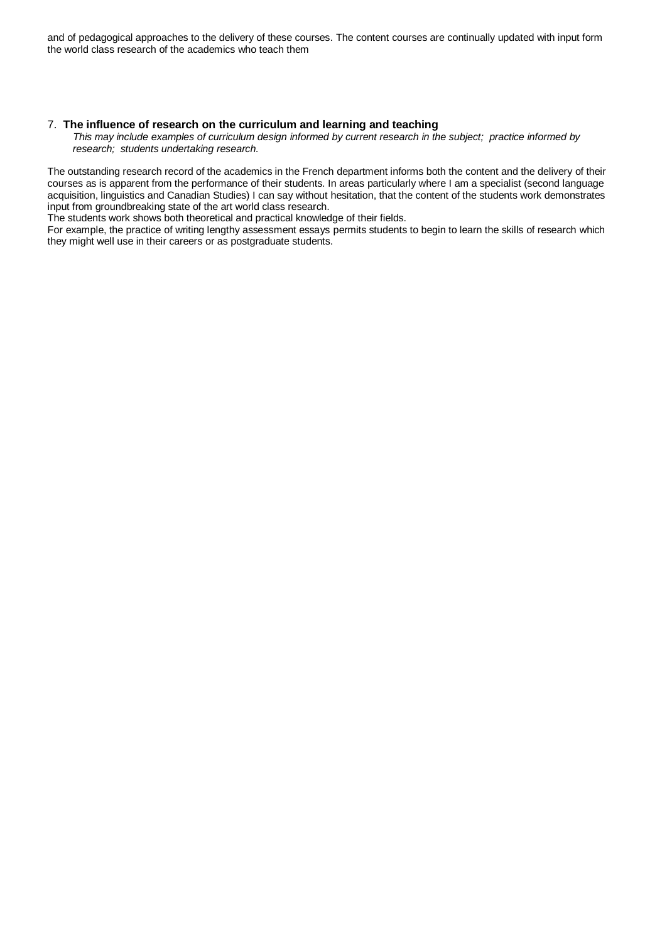and of pedagogical approaches to the delivery of these courses. The content courses are continually updated with input form the world class research of the academics who teach them

#### 7.**The influence of research on the curriculum and learning and teaching**

 *This may include examples of curriculum design informed by current research in the subject; practice informed by research; students undertaking research.* 

The outstanding research record of the academics in the French department informs both the content and the delivery of their courses as is apparent from the performance of their students. In areas particularly where I am a specialist (second language acquisition, linguistics and Canadian Studies) I can say without hesitation, that the content of the students work demonstrates input from groundbreaking state of the art world class research.

The students work shows both theoretical and practical knowledge of their fields.

For example, the practice of writing lengthy assessment essays permits students to begin to learn the skills of research which they might well use in their careers or as postgraduate students.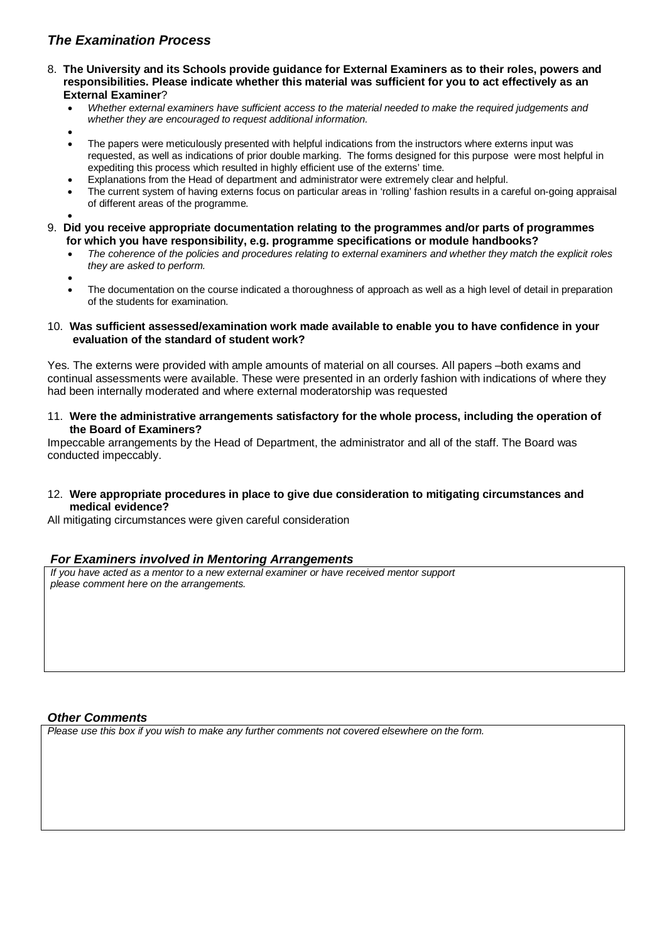- 8. **The University and its Schools provide guidance for External Examiners as to their roles, powers and responsibilities. Please indicate whether this material was sufficient for you to act effectively as an External Examiner**?
	- *Whether external examiners have sufficient access to the material needed to make the required judgements and whether they are encouraged to request additional information.*
	- •
	- The papers were meticulously presented with helpful indications from the instructors where externs input was requested, as well as indications of prior double marking. The forms designed for this purpose were most helpful in expediting this process which resulted in highly efficient use of the externs' time.
	- Explanations from the Head of department and administrator were extremely clear and helpful.
	- The current system of having externs focus on particular areas in 'rolling' fashion results in a careful on-going appraisal of different areas of the programme.

•

- 9. **Did you receive appropriate documentation relating to the programmes and/or parts of programmes for which you have responsibility, e.g. programme specifications or module handbooks?**
	- *The coherence of the policies and procedures relating to external examiners and whether they match the explicit roles they are asked to perform.*
	- •
	- The documentation on the course indicated a thoroughness of approach as well as a high level of detail in preparation of the students for examination.
- 10. **Was sufficient assessed/examination work made available to enable you to have confidence in your evaluation of the standard of student work?**

Yes. The externs were provided with ample amounts of material on all courses. All papers –both exams and continual assessments were available. These were presented in an orderly fashion with indications of where they had been internally moderated and where external moderatorship was requested

11. **Were the administrative arrangements satisfactory for the whole process, including the operation of the Board of Examiners?**

Impeccable arrangements by the Head of Department, the administrator and all of the staff. The Board was conducted impeccably.

12. **Were appropriate procedures in place to give due consideration to mitigating circumstances and medical evidence?**

All mitigating circumstances were given careful consideration

## *For Examiners involved in Mentoring Arrangements*

*If you have acted as a mentor to a new external examiner or have received mentor support please comment here on the arrangements.*

## *Other Comments*

*Please use this box if you wish to make any further comments not covered elsewhere on the form.*